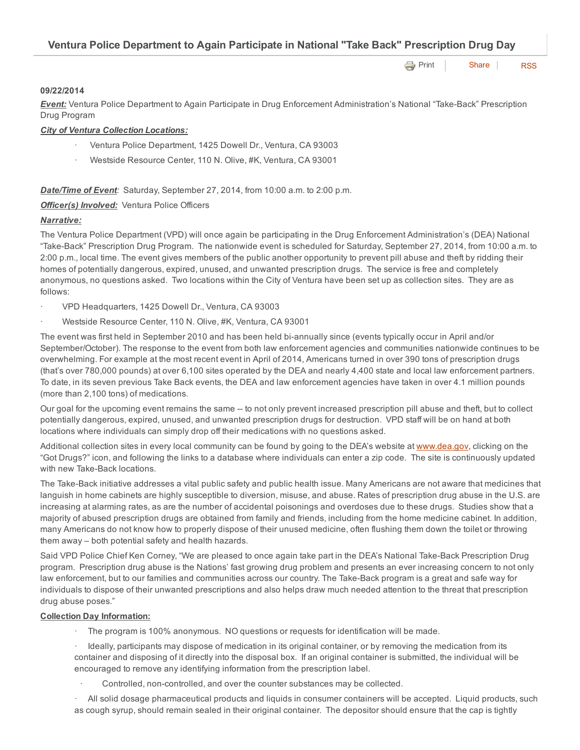Ventura Police Department to Again Participate in National "Take Back" Prescription Drug Day

**[Print](http://www.cityofventura.net/print/16107)** [Share](javascript:void(0)) [RSS](http://www.cityofventura.net/feed/press_release/rss.xml)

#### 09/22/2014

*Event:* Ventura Police Department to Again Participate in Drug Enforcement Administration's National "Take-Back" Prescription Drug Program

# *City of Ventura Collection Locations:*

- · Ventura Police Department, 1425 Dowell Dr., Ventura, CA 93003
- Westside Resource Center, 110 N. Olive, #K, Ventura, CA 93001

# *Date/Time of Event:* Saturday, September 27, 2014, from 10:00 a.m. to 2:00 p.m.

*Officer(s) Involved:* Ventura Police Officers

# *Narrative:*

The Ventura Police Department (VPD) will once again be participating in the Drug Enforcement Administration's (DEA) National "Take-Back" Prescription Drug Program. The nationwide event is scheduled for Saturday, September 27, 2014, from 10:00 a.m. to 2:00 p.m., local time. The event gives members of the public another opportunity to prevent pill abuse and theft by ridding their homes of potentially dangerous, expired, unused, and unwanted prescription drugs. The service is free and completely anonymous, no questions asked. Two locations within the City of Ventura have been set up as collection sites. They are as follows:

- · VPD Headquarters, 1425 Dowell Dr., Ventura, CA 93003
- Westside Resource Center, 110 N. Olive, #K, Ventura, CA 93001

The event was first held in September 2010 and has been held bi-annually since (events typically occur in April and/or September/October). The response to the event from both law enforcement agencies and communities nationwide continues to be overwhelming. For example at the most recent event in April of 2014, Americans turned in over 390 tons of prescription drugs (that's over 780,000 pounds) at over 6,100 sites operated by the DEA and nearly 4,400 state and local law enforcement partners. To date, in its seven previous Take Back events, the DEA and law enforcement agencies have taken in over 4.1 million pounds (more than 2,100 tons) of medications.

Our goal for the upcoming event remains the same -- to not only prevent increased prescription pill abuse and theft, but to collect potentially dangerous, expired, unused, and unwanted prescription drugs for destruction. VPD staff will be on hand at both locations where individuals can simply drop off their medications with no questions asked.

Additional collection sites in every local community can be found by going to the DEA's website at [www.dea.gov,](http://www.dea.gov/) clicking on the "Got Drugs?" icon, and following the links to a database where individuals can enter a zip code. The site is continuously updated with new Take-Back locations.

The Take-Back initiative addresses a vital public safety and public health issue. Many Americans are not aware that medicines that languish in home cabinets are highly susceptible to diversion, misuse, and abuse. Rates of prescription drug abuse in the U.S. are increasing at alarming rates, as are the number of accidental poisonings and overdoses due to these drugs. Studies show that a majority of abused prescription drugs are obtained from family and friends, including from the home medicine cabinet. In addition, many Americans do not know how to properly dispose of their unused medicine, often flushing them down the toilet or throwing them away – both potential safety and health hazards.

Said VPD Police Chief Ken Corney, "We are pleased to once again take part in the DEA's National Take-Back Prescription Drug program. Prescription drug abuse is the Nations' fast growing drug problem and presents an ever increasing concern to not only law enforcement, but to our families and communities across our country. The Take-Back program is a great and safe way for individuals to dispose of their unwanted prescriptions and also helps draw much needed attention to the threat that prescription drug abuse poses."

### Collection Day Information:

- · The program is 100% anonymous. NO questions or requests for identification will be made.
- Ideally, participants may dispose of medication in its original container, or by removing the medication from its container and disposing of it directly into the disposal box. If an original container is submitted, the individual will be encouraged to remove any identifying information from the prescription label.
	- Controlled, non-controlled, and over the counter substances may be collected.

· All solid dosage pharmaceutical products and liquids in consumer containers will be accepted. Liquid products, such as cough syrup, should remain sealed in their original container. The depositor should ensure that the cap is tightly